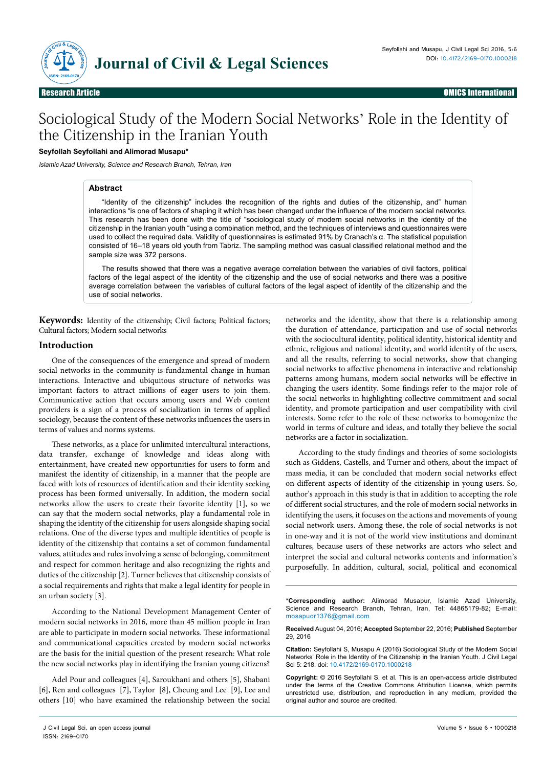

# Sociological Study of the Modern Social Networks' Role in the Identity of the Citizenship in the Iranian Youth

#### **Seyfollah Seyfollahi and Alimorad Musapu\***

Islamic Azad University, Science and Research Branch, Tehran, Iran

#### **Abstract**

"Identity of the citizenship" includes the recognition of the rights and duties of the citizenship, and" human interactions "is one of factors of shaping it which has been changed under the influence of the modern social networks. This research has been done with the title of "sociological study of modern social networks in the identity of the citizenship in the Iranian youth "using a combination method, and the techniques of interviews and questionnaires were used to collect the required data. Validity of questionnaires is estimated 91% by Cranach's α. The statistical population consisted of 16–18 years old youth from Tabriz. The sampling method was casual classified relational method and the sample size was 372 persons.

The results showed that there was a negative average correlation between the variables of civil factors, political factors of the legal aspect of the identity of the citizenship and the use of social networks and there was a positive average correlation between the variables of cultural factors of the legal aspect of identity of the citizenship and the use of social networks.

**Keywords:** Identity of the citizenship; Civil factors; Political factors; Cultural factors; Modern social networks

#### **Introduction**

One of the consequences of the emergence and spread of modern social networks in the community is fundamental change in human interactions. Interactive and ubiquitous structure of networks was important factors to attract millions of eager users to join them. Communicative action that occurs among users and Web content providers is a sign of a process of socialization in terms of applied sociology, because the content of these networks influences the users in terms of values and norms systems.

These networks, as a place for unlimited intercultural interactions, data transfer, exchange of knowledge and ideas along with entertainment, have created new opportunities for users to form and manifest the identity of citizenship, in a manner that the people are faced with lots of resources of identification and their identity seeking process has been formed universally. In addition, the modern social networks allow the users to create their favorite identity [1], so we can say that the modern social networks, play a fundamental role in shaping the identity of the citizenship for users alongside shaping social relations. One of the diverse types and multiple identities of people is identity of the citizenship that contains a set of common fundamental values, attitudes and rules involving a sense of belonging, commitment and respect for common heritage and also recognizing the rights and duties of the citizenship [2]. Turner believes that citizenship consists of a social requirements and rights that make a legal identity for people in an urban society [3].

According to the National Development Management Center of modern social networks in 2016, more than 45 million people in Iran are able to participate in modern social networks. These informational and communicational capacities created by modern social networks are the basis for the initial question of the present research: What role the new social networks play in identifying the Iranian young citizens?

Adel Pour and colleagues [4], Saroukhani and others [5], Shabani [6], Ren and colleagues [7], Taylor [8], Cheung and Lee [9], Lee and others [10] who have examined the relationship between the social

networks and the identity, show that there is a relationship among the duration of attendance, participation and use of social networks with the sociocultural identity, political identity, historical identity and ethnic, religious and national identity, and world identity of the users, and all the results, referring to social networks, show that changing social networks to affective phenomena in interactive and relationship patterns among humans, modern social networks will be effective in changing the users identity. Some findings refer to the major role of the social networks in highlighting collective commitment and social identity, and promote participation and user compatibility with civil interests. Some refer to the role of these networks to homogenize the world in terms of culture and ideas, and totally they believe the social networks are a factor in socialization.

According to the study findings and theories of some sociologists such as Giddens, Castells, and Turner and others, about the impact of mass media, it can be concluded that modern social networks effect on different aspects of identity of the citizenship in young users. So, author's approach in this study is that in addition to accepting the role of different social structures, and the role of modern social networks in identifying the users, it focuses on the actions and movements of young social network users. Among these, the role of social networks is not in one-way and it is not of the world view institutions and dominant cultures, because users of these networks are actors who select and interpret the social and cultural networks contents and information's purposefully. In addition, cultural, social, political and economical

**\*Corresponding author:** Alimorad Musapur, Islamic Azad University, Science and Research Branch, Tehran, Iran, Tel: 44865179-82; E-mail: mosapuor1376@gmail.com

**Received** August 04, 2016; **Accepted** September 22, 2016; **Published** September 29, 2016

**Citation:** Seyfollahi S, Musapu A (2016) Sociological Study of the Modern Social Networks' Role in the Identity of the Citizenship in the Iranian Youth. J Civil Legal Sci 5: 218. doi: 10.4172/2169-0170.1000218

**Copyright:** © 2016 Seyfollahi S, et al. This is an open-access article distributed under the terms of the Creative Commons Attribution License, which permits unrestricted use, distribution, and reproduction in any medium, provided the original author and source are credited.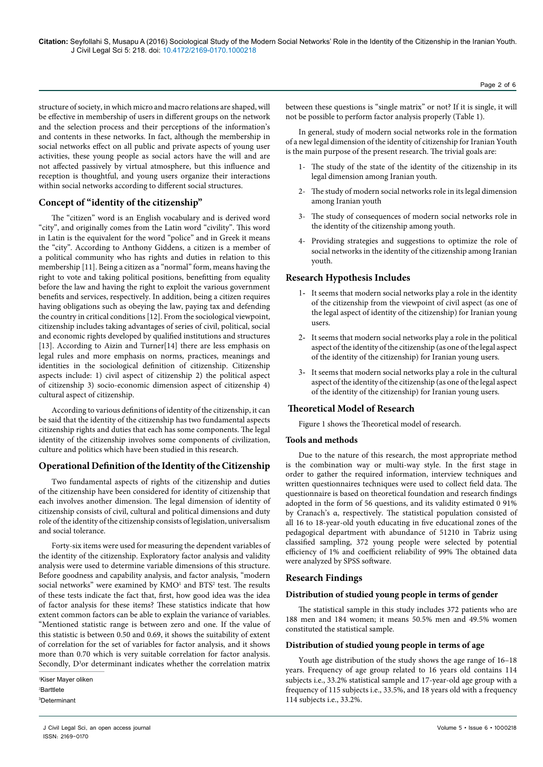structure of society, in which micro and macro relations are shaped, will be effective in membership of users in different groups on the network and the selection process and their perceptions of the information's and contents in these networks. In fact, although the membership in social networks effect on all public and private aspects of young user activities, these young people as social actors have the will and are not affected passively by virtual atmosphere, but this influence and reception is thoughtful, and young users organize their interactions within social networks according to different social structures.

## **Concept of "identity of the citizenship"**

The "citizen" word is an English vocabulary and is derived word "city", and originally comes from the Latin word "civility". This word in Latin is the equivalent for the word "police" and in Greek it means the "city". According to Anthony Giddens, a citizen is a member of a political community who has rights and duties in relation to this membership [11]. Being a citizen as a "normal" form, means having the right to vote and taking political positions, benefitting from equality before the law and having the right to exploit the various government benefits and services, respectively. In addition, being a citizen requires having obligations such as obeying the law, paying tax and defending the country in critical conditions [12]. From the sociological viewpoint, citizenship includes taking advantages of series of civil, political, social and economic rights developed by qualified institutions and structures [13]. According to Aizin and Turner[14] there are less emphasis on legal rules and more emphasis on norms, practices, meanings and identities in the sociological definition of citizenship. Citizenship aspects include: 1) civil aspect of citizenship 2) the political aspect of citizenship 3) socio-economic dimension aspect of citizenship 4) cultural aspect of citizenship.

According to various definitions of identity of the citizenship, it can be said that the identity of the citizenship has two fundamental aspects citizenship rights and duties that each has some components. The legal identity of the citizenship involves some components of civilization, culture and politics which have been studied in this research.

### **Operational Definition of the Identity of the Citizenship**

Two fundamental aspects of rights of the citizenship and duties of the citizenship have been considered for identity of citizenship that each involves another dimension. The legal dimension of identity of citizenship consists of civil, cultural and political dimensions and duty role of the identity of the citizenship consists of legislation, universalism and social tolerance.

Forty-six items were used for measuring the dependent variables of the identity of the citizenship. Exploratory factor analysis and validity analysis were used to determine variable dimensions of this structure. Before goodness and capability analysis, and factor analysis, "modern social networks" were examined by KMO<sup>1</sup> and BTS<sup>2</sup> test. The results of these tests indicate the fact that, first, how good idea was the idea of factor analysis for these items? These statistics indicate that how extent common factors can be able to explain the variance of variables. "Mentioned statistic range is between zero and one. If the value of this statistic is between 0.50 and 0.69, it shows the suitability of extent of correlation for the set of variables for factor analysis, and it shows more than 0.70 which is very suitable correlation for factor analysis. Secondly, D<sup>3</sup>or determinant indicates whether the correlation matrix

1 Kiser Mayer oliken 2 Barttlete 3 Determinant

between these questions is "single matrix" or not? If it is single, it will not be possible to perform factor analysis properly (Table 1).

In general, study of modern social networks role in the formation of a new legal dimension of the identity of citizenship for Iranian Youth is the main purpose of the present research. The trivial goals are:

- 1- The study of the state of the identity of the citizenship in its legal dimension among Iranian youth.
- 2- The study of modern social networks role in its legal dimension among Iranian youth
- 3- The study of consequences of modern social networks role in the identity of the citizenship among youth.
- 4- Providing strategies and suggestions to optimize the role of social networks in the identity of the citizenship among Iranian youth.

## **Research Hypothesis Includes**

- 1- It seems that modern social networks play a role in the identity of the citizenship from the viewpoint of civil aspect (as one of the legal aspect of identity of the citizenship) for Iranian young users.
- 2- It seems that modern social networks play a role in the political aspect of the identity of the citizenship (as one of the legal aspect of the identity of the citizenship) for Iranian young users.
- 3- It seems that modern social networks play a role in the cultural aspect of the identity of the citizenship (as one of the legal aspect of the identity of the citizenship) for Iranian young users.

#### **Theoretical Model of Research**

Figure 1 shows the Theoretical model of research.

#### **Tools and methods**

Due to the nature of this research, the most appropriate method is the combination way or multi-way style. In the first stage in order to gather the required information, interview techniques and written questionnaires techniques were used to collect field data. The questionnaire is based on theoretical foundation and research findings adopted in the form of 56 questions, and its validity estimated 0 91% by Cranach's α, respectively. The statistical population consisted of all 16 to 18-year-old youth educating in five educational zones of the pedagogical department with abundance of 51210 in Tabriz using classified sampling, 372 young people were selected by potential efficiency of 1% and coefficient reliability of 99% The obtained data were analyzed by SPSS software.

#### **Research Findings**

### **Distribution of studied young people in terms of gender**

The statistical sample in this study includes 372 patients who are 188 men and 184 women; it means 50.5% men and 49.5% women constituted the statistical sample.

#### **Distribution of studied young people in terms of age**

Youth age distribution of the study shows the age range of 16–18 years. Frequency of age group related to 16 years old contains 114 subjects i.e., 33.2% statistical sample and 17-year-old age group with a frequency of 115 subjects i.e., 33.5%, and 18 years old with a frequency 114 subjects i.e., 33.2%.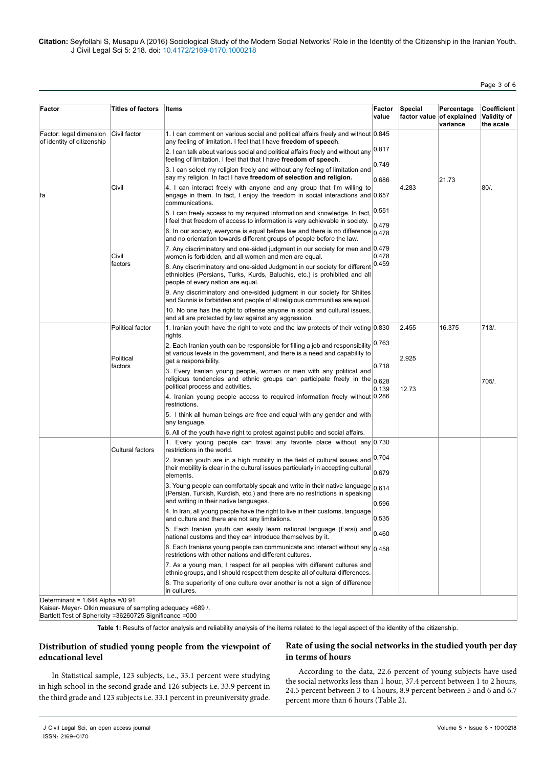**Citation:** Seyfollahi S, Musapu A (2016) Sociological Study of the Modern Social Networks' Role in the Identity of the Citizenship in the Iranian Youth. J Civil Legal Sci 5: 218. doi: 10.4172/2169-0170.1000218

## Page 3 of 6

| Factor                                                                                                                                                   | <b>Titles of factors</b><br>Items |                                                                                                                                                                                              |                |       | Percentage<br>of explained<br>variance | <b>Coefficient</b><br>Validity of<br>the scale |
|----------------------------------------------------------------------------------------------------------------------------------------------------------|-----------------------------------|----------------------------------------------------------------------------------------------------------------------------------------------------------------------------------------------|----------------|-------|----------------------------------------|------------------------------------------------|
| Factor: legal dimension<br>of identity of citizenship                                                                                                    | Civil factor                      | 1. I can comment on various social and political affairs freely and without 0.845<br>any feeling of limitation. I feel that I have freedom of speech.                                        |                |       |                                        |                                                |
|                                                                                                                                                          |                                   | 2. I can talk about various social and political affairs freely and without any $ 0.817$<br>feeling of limitation. I feel that that I have freedom of speech.                                |                |       |                                        |                                                |
|                                                                                                                                                          |                                   | 3. I can select my religion freely and without any feeling of limitation and<br>say my religion. In fact I have freedom of selection and religion.                                           | 0.749<br>0.686 |       | 21.73                                  |                                                |
| fa                                                                                                                                                       | Civil                             | 4. I can interact freely with anyone and any group that I'm willing to<br>engage in them. In fact, I enjoy the freedom in social interactions and 0.657<br>communications.                   |                | 4.283 |                                        | $80/$ .                                        |
|                                                                                                                                                          |                                   | 5. I can freely access to my required information and knowledge. In fact,<br>I feel that freedom of access to information is very achievable in society.                                     | 0.551          |       |                                        |                                                |
|                                                                                                                                                          |                                   | 6. In our society, everyone is equal before law and there is no difference $\frac{1}{0.478}$<br>and no orientation towards different groups of people before the law.                        | 0.479          |       |                                        |                                                |
|                                                                                                                                                          | Civil                             | 7. Any discriminatory and one-sided judgment in our society for men and 0.479<br>women is forbidden, and all women and men are equal.                                                        | 0.478          |       |                                        |                                                |
|                                                                                                                                                          | factors                           | 8. Any discriminatory and one-sided Judgment in our society for different<br>ethnicities (Persians, Turks, Kurds, Baluchis, etc.) is prohibited and all<br>people of every nation are equal. | 0.459          |       |                                        |                                                |
|                                                                                                                                                          |                                   | 9. Any discriminatory and one-sided judgment in our society for Shiites<br>and Sunnis is forbidden and people of all religious communities are equal.                                        |                |       |                                        |                                                |
|                                                                                                                                                          |                                   | 10. No one has the right to offense anyone in social and cultural issues,<br>and all are protected by law against any aggression.                                                            |                |       |                                        |                                                |
|                                                                                                                                                          | <b>Political factor</b>           | 1. Iranian youth have the right to vote and the law protects of their voting 0.830<br>rights.                                                                                                |                | 2.455 | 16.375                                 | $713/$ .                                       |
|                                                                                                                                                          | Political<br>factors              | 2. Each Iranian youth can be responsible for filling a job and responsibility<br>at various levels in the government, and there is a need and capability to<br>get a responsibility.         | 0.763<br>0.718 | 2.925 |                                        |                                                |
|                                                                                                                                                          |                                   | 3. Every Iranian young people, women or men with any political and<br>religious tendencies and ethnic groups can participate freely in the $0.628$<br>political process and activities.      | 0.139          | 12.73 |                                        | 705/.                                          |
|                                                                                                                                                          |                                   | 4. Iranian young people access to required information freely without 0.286<br>restrictions.                                                                                                 |                |       |                                        |                                                |
|                                                                                                                                                          |                                   | 5. I think all human beings are free and equal with any gender and with<br>any language.                                                                                                     |                |       |                                        |                                                |
|                                                                                                                                                          |                                   | 6. All of the youth have right to protest against public and social affairs.                                                                                                                 |                |       |                                        |                                                |
|                                                                                                                                                          | <b>Cultural factors</b>           | 1. Every young people can travel any favorite place without any $0.730$<br>restrictions in the world.                                                                                        |                |       |                                        |                                                |
|                                                                                                                                                          |                                   | 2. Iranian youth are in a high mobility in the field of cultural issues and<br>their mobility is clear in the cultural issues particularly in accepting cultural<br>elements.                | 0.704<br>0.679 |       |                                        |                                                |
|                                                                                                                                                          |                                   | 3. Young people can comfortably speak and write in their native language 0.614<br>(Persian, Turkish, Kurdish, etc.) and there are no restrictions in speaking                                |                |       |                                        |                                                |
|                                                                                                                                                          |                                   | and writing in their native languages.<br>4. In Iran, all young people have the right to live in their customs, language<br>and culture and there are not any limitations.                   | 0.596<br>0.535 |       |                                        |                                                |
|                                                                                                                                                          |                                   | 5. Each Iranian youth can easily learn national language (Farsi) and<br>national customs and they can introduce themselves by it.                                                            | 0.460          |       |                                        |                                                |
|                                                                                                                                                          |                                   | 6. Each Iranians young people can communicate and interact without any $ _{0.458}$<br>restrictions with other nations and different cultures.                                                |                |       |                                        |                                                |
|                                                                                                                                                          |                                   | 7. As a young man, I respect for all peoples with different cultures and<br>ethnic groups, and I should respect them despite all of cultural differences.                                    |                |       |                                        |                                                |
|                                                                                                                                                          |                                   | 8. The superiority of one culture over another is not a sign of difference<br>in cultures.                                                                                                   |                |       |                                        |                                                |
| Determinant = 1.644 Alpha =/0 91<br>Kaiser- Meyer- Olkin measure of sampling adequacy =689 /.<br>Bartlett Test of Sphericity =36260725 Significance =000 |                                   |                                                                                                                                                                                              |                |       |                                        |                                                |

**Table 1:** Results of factor analysis and reliability analysis of the items related to the legal aspect of the identity of the citizenship.

## **Distribution of studied young people from the viewpoint of educational level**

## In Statistical sample, 123 subjects, i.e., 33.1 percent were studying in high school in the second grade and 126 subjects i.e. 33.9 percent in the third grade and 123 subjects i.e. 33.1 percent in preuniversity grade.

## **Rate of using the social networks in the studied youth per day in terms of hours**

According to the data, 22.6 percent of young subjects have used the social networks less than 1 hour, 37.4 percent between 1 to 2 hours, 24.5 percent between 3 to 4 hours, 8.9 percent between 5 and 6 and 6.7 percent more than 6 hours (Table 2).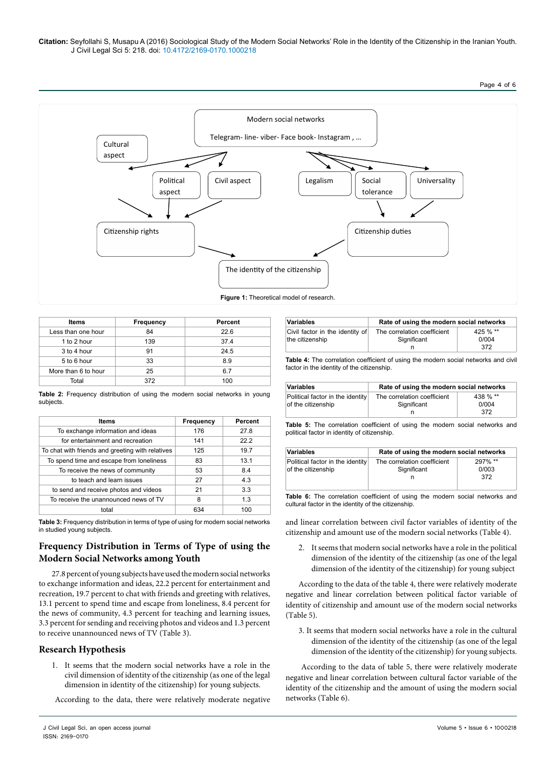**Citation:** Seyfollahi S, Musapu A (2016) Sociological Study of the Modern Social Networks' Role in the Identity of the Citizenship in the Iranian Youth. J Civil Legal Sci 5: 218. doi: 10.4172/2169-0170.1000218



| <b>Items</b>        | Frequency | Percent |  |  |
|---------------------|-----------|---------|--|--|
| Less than one hour  | 84        | 22.6    |  |  |
| 1 to 2 hour         | 139       | 37.4    |  |  |
| 3 to 4 hour         | 91        | 24.5    |  |  |
| 5 to 6 hour         | 33        | 8.9     |  |  |
| More than 6 to hour | 25        | 6.7     |  |  |
| Total               | 372       | 100     |  |  |

**Table 2:** Frequency distribution of using the modern social networks in young subjects.

| <b>Items</b>                                     | Frequency | Percent |
|--------------------------------------------------|-----------|---------|
| To exchange information and ideas                | 176       | 27.8    |
| for entertainment and recreation                 | 141       | 22.2    |
| To chat with friends and greeting with relatives | 125       | 19.7    |
| To spend time and escape from loneliness         | 83        | 13.1    |
| To receive the news of community                 | 53        | 8.4     |
| to teach and learn issues                        | 27        | 4.3     |
| to send and receive photos and videos            | 21        | 3.3     |
| To receive the unannounced news of TV            | 8         | 1.3     |
| total                                            | 634       | 100     |

**Table 3:** Frequency distribution in terms of type of using for modern social networks in studied young subjects.

## **Frequency Distribution in Terms of Type of using the Modern Social Networks among Youth**

27.8 percent of young subjects have used the modern social networks to exchange information and ideas, 22.2 percent for entertainment and recreation, 19.7 percent to chat with friends and greeting with relatives, 13.1 percent to spend time and escape from loneliness, 8.4 percent for the news of community, 4.3 percent for teaching and learning issues, 3.3 percent for sending and receiving photos and videos and 1.3 percent to receive unannounced news of TV (Table 3).

# **Research Hypothesis**

1. It seems that the modern social networks have a role in the civil dimension of identity of the citizenship (as one of the legal dimension in identity of the citizenship) for young subjects.

According to the data, there were relatively moderate negative

| <b>Variables</b>                | Rate of using the modern social networks |          |  |
|---------------------------------|------------------------------------------|----------|--|
| Civil factor in the identity of | The correlation coefficient              | 425 % ** |  |
| the citizenship                 | Significant                              | 0/004    |  |
|                                 |                                          | 372      |  |

Page 4 of 6

**Table 4:** The correlation coefficient of using the modern social networks and civil factor in the identity of the citizenship.

| <b>Variables</b>                                       | Rate of using the modern social networks                          |     |  |  |
|--------------------------------------------------------|-------------------------------------------------------------------|-----|--|--|
| Political factor in the identity<br>of the citizenship | 438 % $**$<br>The correlation coefficient<br>Significant<br>0/004 |     |  |  |
|                                                        |                                                                   | 372 |  |  |

**Table 5:** The correlation coefficient of using the modern social networks and political factor in identity of citizenship.

| <b>Variables</b>                                       | Rate of using the modern social networks   |                         |  |
|--------------------------------------------------------|--------------------------------------------|-------------------------|--|
| Political factor in the identity<br>of the citizenship | The correlation coefficient<br>Significant | 297% **<br>0/003<br>372 |  |

**Table 6:** The correlation coefficient of using the modern social networks and cultural factor in the identity of the citizenship.

and linear correlation between civil factor variables of identity of the citizenship and amount use of the modern social networks (Table 4).

2. It seems that modern social networks have a role in the political dimension of the identity of the citizenship (as one of the legal dimension of the identity of the citizenship) for young subject

According to the data of the table 4, there were relatively moderate negative and linear correlation between political factor variable of identity of citizenship and amount use of the modern social networks (Table 5).

3. It seems that modern social networks have a role in the cultural dimension of the identity of the citizenship (as one of the legal dimension of the identity of the citizenship) for young subjects.

 According to the data of table 5, there were relatively moderate negative and linear correlation between cultural factor variable of the identity of the citizenship and the amount of using the modern social networks (Table 6).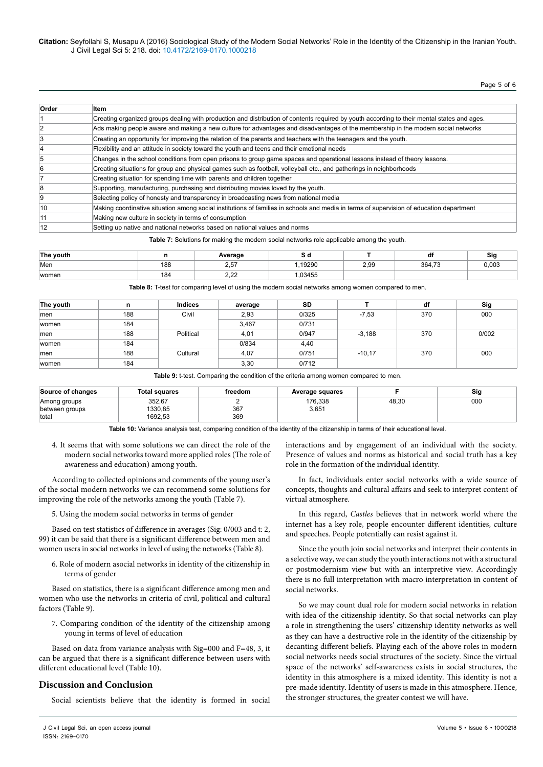#### **Citation:** Seyfollahi S, Musapu A (2016) Sociological Study of the Modern Social Networks' Role in the Identity of the Citizenship in the Iranian Youth. J Civil Legal Sci 5: 218. doi: 10.4172/2169-0170.1000218

Page 5 of 6

| Order | Item                                                                                                                                        |
|-------|---------------------------------------------------------------------------------------------------------------------------------------------|
|       | Creating organized groups dealing with production and distribution of contents required by youth according to their mental states and ages. |
|       | Ads making people aware and making a new culture for advantages and disadvantages of the membership in the modern social networks           |
|       | Creating an opportunity for improving the relation of the parents and teachers with the teenagers and the youth.                            |
|       | Flexibility and an attitude in society toward the youth and teens and their emotional needs                                                 |
| 5     | Changes in the school conditions from open prisons to group game spaces and operational lessons instead of theory lessons.                  |
| 6     | Creating situations for group and physical games such as football, volleyball etc., and gatherings in neighborhoods                         |
|       | Creating situation for spending time with parents and children together                                                                     |
| 8     | Supporting, manufacturing, purchasing and distributing movies loved by the youth.                                                           |
| 9     | Selecting policy of honesty and transparency in broadcasting news from national media                                                       |
| 10    | Making coordinative situation among social institutions of families in schools and media in terms of supervision of education department    |
| 11    | Making new culture in society in terms of consumption                                                                                       |
| 12    | Setting up native and national networks based on national values and norms                                                                  |

**Table 7:** Solutions for making the modern social networks role applicable among the youth.

| The youth |     | Average             | υu    |      | aı            | Sig   |
|-----------|-----|---------------------|-------|------|---------------|-------|
| Men       | 188 | n --<br>ħ<br>، ب. ے | 19290 | 2,99 | 364<br>$\neg$ | 0,003 |
| women     | 184 | ה ה<br>L,LL         | 03455 |      |               |       |

**Table 8:** T-test for comparing level of using the modern social networks among women compared to men.

| The youth | n   | <b>Indices</b> | average | SD    |          | df  | Sig   |
|-----------|-----|----------------|---------|-------|----------|-----|-------|
| men       | 188 | Civil          | 2,93    | 0/325 | $-7,53$  | 370 | 000   |
| women     | 184 |                | 3,467   | 0/731 |          |     |       |
| men       | 188 | Political      | 4,01    | 0/947 | $-3,188$ | 370 | 0/002 |
| women     | 184 |                | 0/834   | 4,40  |          |     |       |
| men       | 188 | Cultural       | 4,07    | 0/751 | $-10.17$ | 370 | 000   |
| women     | 184 |                | 3,30    | 0/712 |          |     |       |

**Table 9:** t-test. Comparing the condition of the criteria among women compared to men.

| Source of changes                       | Total squares                | freedom    | Average squares  |       | Sig |
|-----------------------------------------|------------------------------|------------|------------------|-------|-----|
| Among groups<br>between groups<br>total | 352,67<br>1330.85<br>1692.53 | 367<br>369 | 176,338<br>3,651 | 48,30 | 000 |

**Table 10:** Variance analysis test, comparing condition of the identity of the citizenship in terms of their educational level.

4. It seems that with some solutions we can direct the role of the modern social networks toward more applied roles (The role of awareness and education) among youth.

According to collected opinions and comments of the young user's of the social modern networks we can recommend some solutions for improving the role of the networks among the youth (Table 7).

5. Using the modem social networks in terms of gender

Based on test statistics of difference in averages (Sig: 0/003 and t: 2, 99) it can be said that there is a significant difference between men and women users in social networks in level of using the networks (Table 8).

6. Role of modern asocial networks in identity of the citizenship in terms of gender

Based on statistics, there is a significant difference among men and women who use the networks in criteria of civil, political and cultural factors (Table 9).

7. Comparing condition of the identity of the citizenship among young in terms of level of education

Based on data from variance analysis with Sig=000 and F=48, 3, it can be argued that there is a significant difference between users with different educational level (Table 10).

#### **Discussion and Conclusion**

Social scientists believe that the identity is formed in social

interactions and by engagement of an individual with the society. Presence of values and norms as historical and social truth has a key role in the formation of the individual identity.

In fact, individuals enter social networks with a wide source of concepts, thoughts and cultural affairs and seek to interpret content of virtual atmosphere.

In this regard, *Castles* believes that in network world where the internet has a key role, people encounter different identities, culture and speeches. People potentially can resist against it.

Since the youth join social networks and interpret their contents in a selective way, we can study the youth interactions not with a structural or postmodernism view but with an interpretive view. Accordingly there is no full interpretation with macro interpretation in content of social networks.

So we may count dual role for modern social networks in relation with idea of the citizenship identity. So that social networks can play a role in strengthening the users' citizenship identity networks as well as they can have a destructive role in the identity of the citizenship by decanting different beliefs. Playing each of the above roles in modern social networks needs social structures of the society. Since the virtual space of the networks' self-awareness exists in social structures, the identity in this atmosphere is a mixed identity. This identity is not a pre-made identity. Identity of users is made in this atmosphere. Hence, the stronger structures, the greater contest we will have.